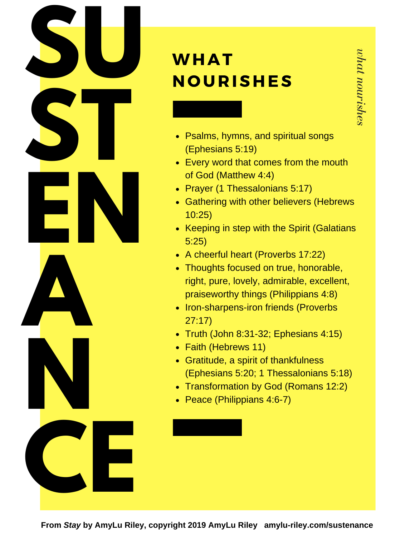

## **WHAT NOURISHES**

- Psalms, hymns, and spiritual songs (Ephesians 5:19)
- Every word that comes from the mouth of God (Matthew 4:4)
- Prayer (1 Thessalonians 5:17)
- Gathering with other believers (Hebrews 10:25)
- Keeping in step with the Spirit (Galatians 5:25)
- A cheerful heart (Proverbs 17:22)
- Thoughts focused on true, honorable, right, pure, lovely, admirable, excellent, praiseworthy things (Philippians 4:8)
- Iron-sharpens-iron friends (Proverbs 27:17)
- Truth (John 8:31-32; Ephesians 4:15)
- Faith (Hebrews 11)
- Gratitude, a spirit of thankfulness (Ephesians 5:20; 1 Thessalonians 5:18)
- Transformation by God (Romans 12:2)
- Peace (Philippians 4:6-7)